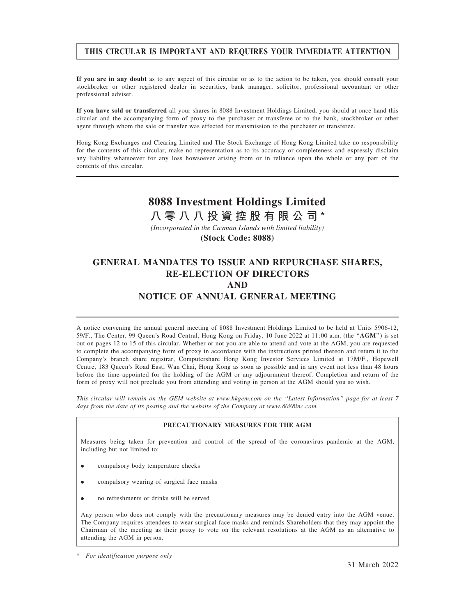## THIS CIRCULAR IS IMPORTANT AND REQUIRES YOUR IMMEDIATE ATTENTION

If you are in any doubt as to any aspect of this circular or as to the action to be taken, you should consult your stockbroker or other registered dealer in securities, bank manager, solicitor, professional accountant or other professional adviser.

If you have sold or transferred all your shares in 8088 Investment Holdings Limited, you should at once hand this circular and the accompanying form of proxy to the purchaser or transferee or to the bank, stockbroker or other agent through whom the sale or transfer was effected for transmission to the purchaser or transferee.

Hong Kong Exchanges and Clearing Limited and The Stock Exchange of Hong Kong Limited take no responsibility for the contents of this circular, make no representation as to its accuracy or completeness and expressly disclaim any liability whatsoever for any loss howsoever arising from or in reliance upon the whole or any part of the contents of this circular.

# **8088 Investment Holdings Limited**

**八零八八投資控股有限公司\***

*(Incorporated in the Cayman Islands with limited liability)*

**(Stock Code: 8088)**

## GENERAL MANDATES TO ISSUE AND REPURCHASE SHARES, RE-ELECTION OF DIRECTORS AND NOTICE OF ANNUAL GENERAL MEETING

A notice convening the annual general meeting of 8088 Investment Holdings Limited to be held at Units 5906-12, 59/F., The Center, 99 Queen's Road Central, Hong Kong on Friday, 10 June 2022 at 11:00 a.m. (the "AGM") is set out on pages 12 to 15 of this circular. Whether or not you are able to attend and vote at the AGM, you are requested to complete the accompanying form of proxy in accordance with the instructions printed thereon and return it to the Company's branch share registrar, Computershare Hong Kong Investor Services Limited at 17M/F., Hopewell Centre, 183 Queen's Road East, Wan Chai, Hong Kong as soon as possible and in any event not less than 48 hours before the time appointed for the holding of the AGM or any adjournment thereof. Completion and return of the form of proxy will not preclude you from attending and voting in person at the AGM should you so wish.

This circular will remain on the GEM website at www.hkgem.com on the ''Latest Information'' page for at least 7 days from the date of its posting and the website of the Company at www.8088inc.com.

#### PRECAUTIONARY MEASURES FOR THE AGM

Measures being taken for prevention and control of the spread of the coronavirus pandemic at the AGM, including but not limited to:

- . compulsory body temperature checks
- . compulsory wearing of surgical face masks
- . no refreshments or drinks will be served

Any person who does not comply with the precautionary measures may be denied entry into the AGM venue. The Company requires attendees to wear surgical face masks and reminds Shareholders that they may appoint the Chairman of the meeting as their proxy to vote on the relevant resolutions at the AGM as an alternative to attending the AGM in person.

<sup>\*</sup> For identification purpose only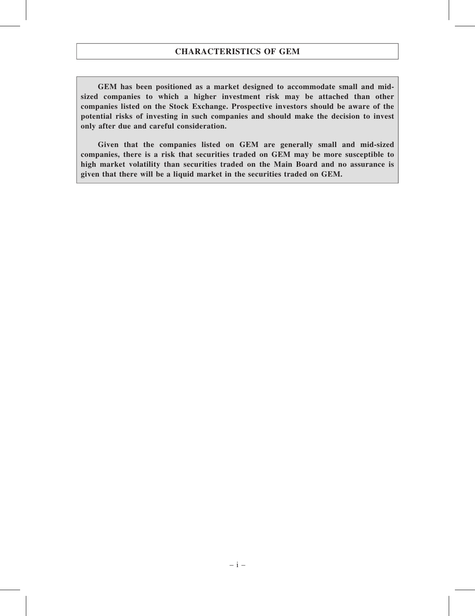GEM has been positioned as a market designed to accommodate small and midsized companies to which a higher investment risk may be attached than other companies listed on the Stock Exchange. Prospective investors should be aware of the potential risks of investing in such companies and should make the decision to invest only after due and careful consideration.

Given that the companies listed on GEM are generally small and mid-sized companies, there is a risk that securities traded on GEM may be more susceptible to high market volatility than securities traded on the Main Board and no assurance is given that there will be a liquid market in the securities traded on GEM.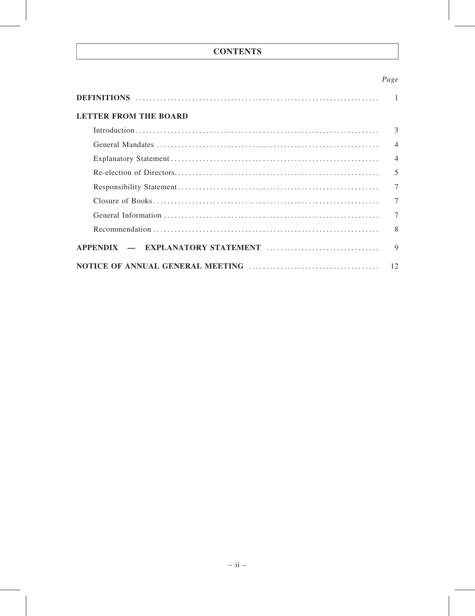## **CONTENTS**

## Page

| <b>LETTER FROM THE BOARD</b> |                |
|------------------------------|----------------|
|                              | 3              |
|                              | $\overline{4}$ |
|                              | $\overline{4}$ |
|                              | 5              |
|                              | $\overline{7}$ |
|                              | $\overline{7}$ |
|                              | $\overline{7}$ |
|                              | 8              |
|                              | $\mathbf Q$    |
|                              | 12             |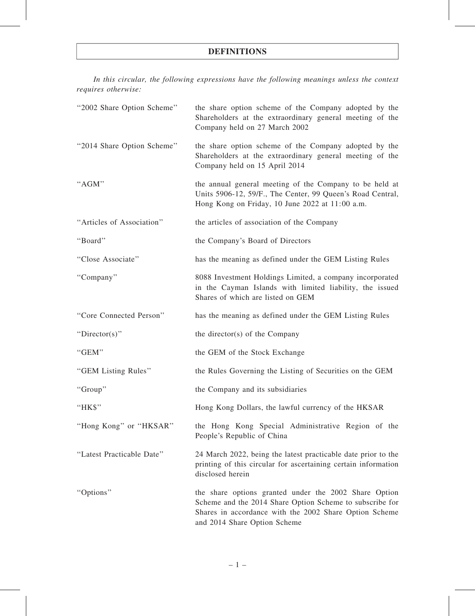## DEFINITIONS

In this circular, the following expressions have the following meanings unless the context requires otherwise:

| "2002 Share Option Scheme" | the share option scheme of the Company adopted by the<br>Shareholders at the extraordinary general meeting of the<br>Company held on 27 March 2002                                                          |
|----------------------------|-------------------------------------------------------------------------------------------------------------------------------------------------------------------------------------------------------------|
| "2014 Share Option Scheme" | the share option scheme of the Company adopted by the<br>Shareholders at the extraordinary general meeting of the<br>Company held on 15 April 2014                                                          |
| "AGM"                      | the annual general meeting of the Company to be held at<br>Units 5906-12, 59/F., The Center, 99 Queen's Road Central,<br>Hong Kong on Friday, 10 June 2022 at 11:00 a.m.                                    |
| "Articles of Association"  | the articles of association of the Company                                                                                                                                                                  |
| "Board"                    | the Company's Board of Directors                                                                                                                                                                            |
| "Close Associate"          | has the meaning as defined under the GEM Listing Rules                                                                                                                                                      |
| "Company"                  | 8088 Investment Holdings Limited, a company incorporated<br>in the Cayman Islands with limited liability, the issued<br>Shares of which are listed on GEM                                                   |
| "Core Connected Person"    | has the meaning as defined under the GEM Listing Rules                                                                                                                                                      |
| "Director(s)"              | the director(s) of the Company                                                                                                                                                                              |
| "GEM"                      | the GEM of the Stock Exchange                                                                                                                                                                               |
| "GEM Listing Rules"        | the Rules Governing the Listing of Securities on the GEM                                                                                                                                                    |
| "Group"                    | the Company and its subsidiaries                                                                                                                                                                            |
| "HK\$"                     | Hong Kong Dollars, the lawful currency of the HKSAR                                                                                                                                                         |
| "Hong Kong" or "HKSAR"     | the Hong Kong Special Administrative Region of the<br>People's Republic of China                                                                                                                            |
| "Latest Practicable Date"  | 24 March 2022, being the latest practicable date prior to the<br>printing of this circular for ascertaining certain information<br>disclosed herein                                                         |
| "Options"                  | the share options granted under the 2002 Share Option<br>Scheme and the 2014 Share Option Scheme to subscribe for<br>Shares in accordance with the 2002 Share Option Scheme<br>and 2014 Share Option Scheme |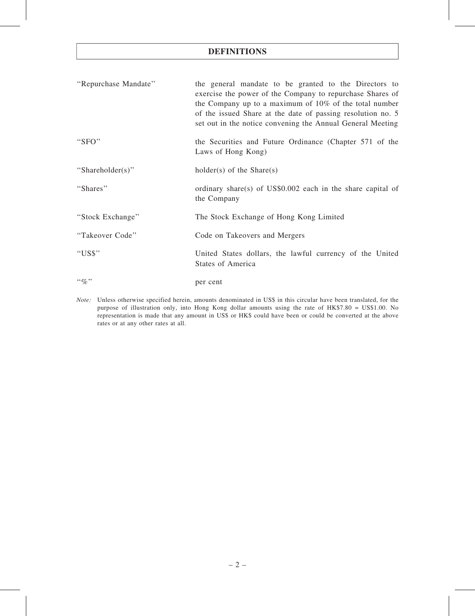## DEFINITIONS

| "Repurchase Mandate" | the general mandate to be granted to the Directors to<br>exercise the power of the Company to repurchase Shares of<br>the Company up to a maximum of $10\%$ of the total number<br>of the issued Share at the date of passing resolution no. 5<br>set out in the notice convening the Annual General Meeting |
|----------------------|--------------------------------------------------------------------------------------------------------------------------------------------------------------------------------------------------------------------------------------------------------------------------------------------------------------|
| "SFO"                | the Securities and Future Ordinance (Chapter 571 of the<br>Laws of Hong Kong)                                                                                                                                                                                                                                |
| "Shareholder(s)"     | $holder(s)$ of the Share(s)                                                                                                                                                                                                                                                                                  |
| "Shares"             | ordinary share(s) of US\$0.002 each in the share capital of<br>the Company                                                                                                                                                                                                                                   |
| "Stock Exchange"     | The Stock Exchange of Hong Kong Limited                                                                                                                                                                                                                                                                      |
| "Takeover Code"      | Code on Takeovers and Mergers                                                                                                                                                                                                                                                                                |
| "US\$"               | United States dollars, the lawful currency of the United<br>States of America                                                                                                                                                                                                                                |
| $``\%"$              | per cent                                                                                                                                                                                                                                                                                                     |

Note: Unless otherwise specified herein, amounts denominated in US\$ in this circular have been translated, for the purpose of illustration only, into Hong Kong dollar amounts using the rate of HK\$7.80 = US\$1.00. No representation is made that any amount in US\$ or HK\$ could have been or could be converted at the above rates or at any other rates at all.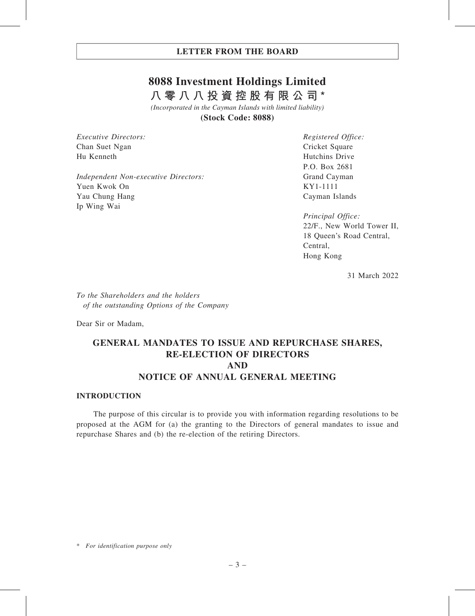# **8088 Investment Holdings Limited 八零八八投資控股有限公司\***

*(Incorporated in the Cayman Islands with limited liability)* **(Stock Code: 8088)**

Executive Directors: Chan Suet Ngan Hu Kenneth

Independent Non-executive Directors: Yuen Kwok On Yau Chung Hang Ip Wing Wai

Registered Office: Cricket Square Hutchins Drive P.O. Box 2681 Grand Cayman KY1-1111 Cayman Islands

Principal Office: 22/F., New World Tower II, 18 Queen's Road Central, Central, Hong Kong

31 March 2022

To the Shareholders and the holders of the outstanding Options of the Company

Dear Sir or Madam,

# GENERAL MANDATES TO ISSUE AND REPURCHASE SHARES, RE-ELECTION OF DIRECTORS AND NOTICE OF ANNUAL GENERAL MEETING

## INTRODUCTION

The purpose of this circular is to provide you with information regarding resolutions to be proposed at the AGM for (a) the granting to the Directors of general mandates to issue and repurchase Shares and (b) the re-election of the retiring Directors.

<sup>\*</sup> For identification purpose only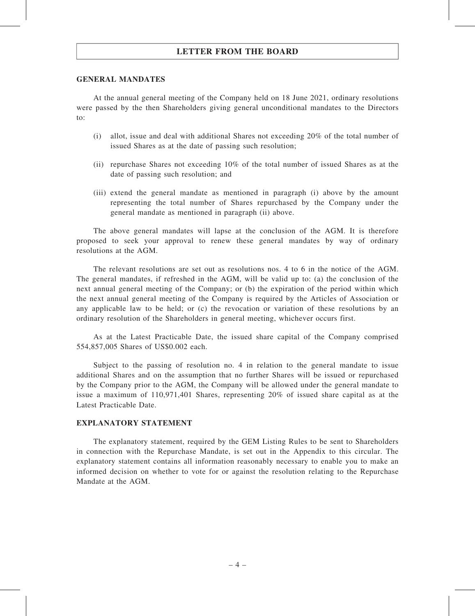### GENERAL MANDATES

At the annual general meeting of the Company held on 18 June 2021, ordinary resolutions were passed by the then Shareholders giving general unconditional mandates to the Directors to:

- (i) allot, issue and deal with additional Shares not exceeding 20% of the total number of issued Shares as at the date of passing such resolution;
- (ii) repurchase Shares not exceeding 10% of the total number of issued Shares as at the date of passing such resolution; and
- (iii) extend the general mandate as mentioned in paragraph (i) above by the amount representing the total number of Shares repurchased by the Company under the general mandate as mentioned in paragraph (ii) above.

The above general mandates will lapse at the conclusion of the AGM. It is therefore proposed to seek your approval to renew these general mandates by way of ordinary resolutions at the AGM.

The relevant resolutions are set out as resolutions nos. 4 to 6 in the notice of the AGM. The general mandates, if refreshed in the AGM, will be valid up to: (a) the conclusion of the next annual general meeting of the Company; or (b) the expiration of the period within which the next annual general meeting of the Company is required by the Articles of Association or any applicable law to be held; or (c) the revocation or variation of these resolutions by an ordinary resolution of the Shareholders in general meeting, whichever occurs first.

As at the Latest Practicable Date, the issued share capital of the Company comprised 554,857,005 Shares of US\$0.002 each.

Subject to the passing of resolution no. 4 in relation to the general mandate to issue additional Shares and on the assumption that no further Shares will be issued or repurchased by the Company prior to the AGM, the Company will be allowed under the general mandate to issue a maximum of 110,971,401 Shares, representing 20% of issued share capital as at the Latest Practicable Date.

## EXPLANATORY STATEMENT

The explanatory statement, required by the GEM Listing Rules to be sent to Shareholders in connection with the Repurchase Mandate, is set out in the Appendix to this circular. The explanatory statement contains all information reasonably necessary to enable you to make an informed decision on whether to vote for or against the resolution relating to the Repurchase Mandate at the AGM.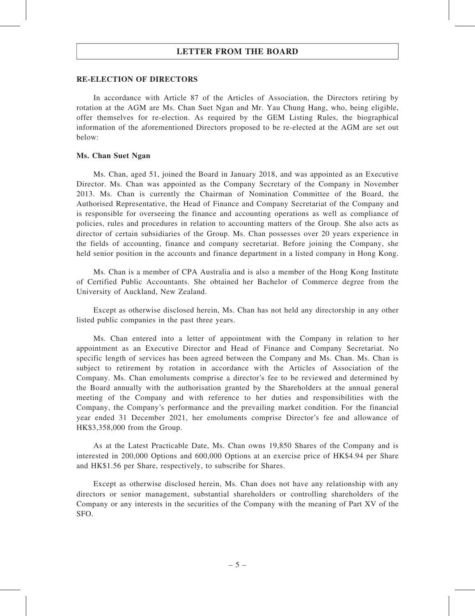### RE-ELECTION OF DIRECTORS

In accordance with Article 87 of the Articles of Association, the Directors retiring by rotation at the AGM are Ms. Chan Suet Ngan and Mr. Yau Chung Hang, who, being eligible, offer themselves for re-election. As required by the GEM Listing Rules, the biographical information of the aforementioned Directors proposed to be re-elected at the AGM are set out below:

#### Ms. Chan Suet Ngan

Ms. Chan, aged 51, joined the Board in January 2018, and was appointed as an Executive Director. Ms. Chan was appointed as the Company Secretary of the Company in November 2013. Ms. Chan is currently the Chairman of Nomination Committee of the Board, the Authorised Representative, the Head of Finance and Company Secretariat of the Company and is responsible for overseeing the finance and accounting operations as well as compliance of policies, rules and procedures in relation to accounting matters of the Group. She also acts as director of certain subsidiaries of the Group. Ms. Chan possesses over 20 years experience in the fields of accounting, finance and company secretariat. Before joining the Company, she held senior position in the accounts and finance department in a listed company in Hong Kong.

Ms. Chan is a member of CPA Australia and is also a member of the Hong Kong Institute of Certified Public Accountants. She obtained her Bachelor of Commerce degree from the University of Auckland, New Zealand.

Except as otherwise disclosed herein, Ms. Chan has not held any directorship in any other listed public companies in the past three years.

Ms. Chan entered into a letter of appointment with the Company in relation to her appointment as an Executive Director and Head of Finance and Company Secretariat. No specific length of services has been agreed between the Company and Ms. Chan. Ms. Chan is subject to retirement by rotation in accordance with the Articles of Association of the Company. Ms. Chan emoluments comprise a director's fee to be reviewed and determined by the Board annually with the authorisation granted by the Shareholders at the annual general meeting of the Company and with reference to her duties and responsibilities with the Company, the Company's performance and the prevailing market condition. For the financial year ended 31 December 2021, her emoluments comprise Director's fee and allowance of HK\$3,358,000 from the Group.

As at the Latest Practicable Date, Ms. Chan owns 19,850 Shares of the Company and is interested in 200,000 Options and 600,000 Options at an exercise price of HK\$4.94 per Share and HK\$1.56 per Share, respectively, to subscribe for Shares.

Except as otherwise disclosed herein, Ms. Chan does not have any relationship with any directors or senior management, substantial shareholders or controlling shareholders of the Company or any interests in the securities of the Company with the meaning of Part XV of the SFO.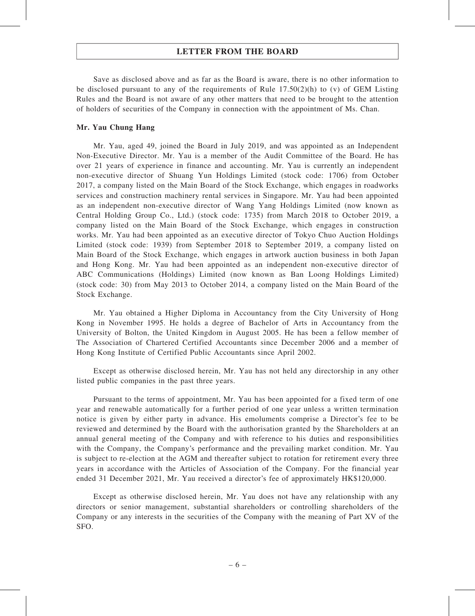Save as disclosed above and as far as the Board is aware, there is no other information to be disclosed pursuant to any of the requirements of Rule  $17.50(2)(h)$  to (v) of GEM Listing Rules and the Board is not aware of any other matters that need to be brought to the attention of holders of securities of the Company in connection with the appointment of Ms. Chan.

### Mr. Yau Chung Hang

Mr. Yau, aged 49, joined the Board in July 2019, and was appointed as an Independent Non-Executive Director. Mr. Yau is a member of the Audit Committee of the Board. He has over 21 years of experience in finance and accounting. Mr. Yau is currently an independent non-executive director of Shuang Yun Holdings Limited (stock code: 1706) from October 2017, a company listed on the Main Board of the Stock Exchange, which engages in roadworks services and construction machinery rental services in Singapore. Mr. Yau had been appointed as an independent non-executive director of Wang Yang Holdings Limited (now known as Central Holding Group Co., Ltd.) (stock code: 1735) from March 2018 to October 2019, a company listed on the Main Board of the Stock Exchange, which engages in construction works. Mr. Yau had been appointed as an executive director of Tokyo Chuo Auction Holdings Limited (stock code: 1939) from September 2018 to September 2019, a company listed on Main Board of the Stock Exchange, which engages in artwork auction business in both Japan and Hong Kong. Mr. Yau had been appointed as an independent non-executive director of ABC Communications (Holdings) Limited (now known as Ban Loong Holdings Limited) (stock code: 30) from May 2013 to October 2014, a company listed on the Main Board of the Stock Exchange.

Mr. Yau obtained a Higher Diploma in Accountancy from the City University of Hong Kong in November 1995. He holds a degree of Bachelor of Arts in Accountancy from the University of Bolton, the United Kingdom in August 2005. He has been a fellow member of The Association of Chartered Certified Accountants since December 2006 and a member of Hong Kong Institute of Certified Public Accountants since April 2002.

Except as otherwise disclosed herein, Mr. Yau has not held any directorship in any other listed public companies in the past three years.

Pursuant to the terms of appointment, Mr. Yau has been appointed for a fixed term of one year and renewable automatically for a further period of one year unless a written termination notice is given by either party in advance. His emoluments comprise a Director's fee to be reviewed and determined by the Board with the authorisation granted by the Shareholders at an annual general meeting of the Company and with reference to his duties and responsibilities with the Company, the Company's performance and the prevailing market condition. Mr. Yau is subject to re-election at the AGM and thereafter subject to rotation for retirement every three years in accordance with the Articles of Association of the Company. For the financial year ended 31 December 2021, Mr. Yau received a director's fee of approximately HK\$120,000.

Except as otherwise disclosed herein, Mr. Yau does not have any relationship with any directors or senior management, substantial shareholders or controlling shareholders of the Company or any interests in the securities of the Company with the meaning of Part XV of the SFO.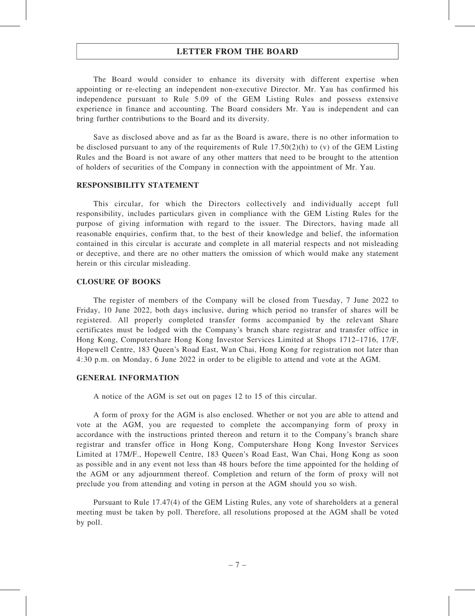The Board would consider to enhance its diversity with different expertise when appointing or re-electing an independent non-executive Director. Mr. Yau has confirmed his independence pursuant to Rule 5.09 of the GEM Listing Rules and possess extensive experience in finance and accounting. The Board considers Mr. Yau is independent and can bring further contributions to the Board and its diversity.

Save as disclosed above and as far as the Board is aware, there is no other information to be disclosed pursuant to any of the requirements of Rule  $17.50(2)(h)$  to (v) of the GEM Listing Rules and the Board is not aware of any other matters that need to be brought to the attention of holders of securities of the Company in connection with the appointment of Mr. Yau.

### RESPONSIBILITY STATEMENT

This circular, for which the Directors collectively and individually accept full responsibility, includes particulars given in compliance with the GEM Listing Rules for the purpose of giving information with regard to the issuer. The Directors, having made all reasonable enquiries, confirm that, to the best of their knowledge and belief, the information contained in this circular is accurate and complete in all material respects and not misleading or deceptive, and there are no other matters the omission of which would make any statement herein or this circular misleading.

### CLOSURE OF BOOKS

The register of members of the Company will be closed from Tuesday, 7 June 2022 to Friday, 10 June 2022, both days inclusive, during which period no transfer of shares will be registered. All properly completed transfer forms accompanied by the relevant Share certificates must be lodged with the Company's branch share registrar and transfer office in Hong Kong, Computershare Hong Kong Investor Services Limited at Shops 1712–1716, 17/F, Hopewell Centre, 183 Queen's Road East, Wan Chai, Hong Kong for registration not later than 4:30 p.m. on Monday, 6 June 2022 in order to be eligible to attend and vote at the AGM.

#### GENERAL INFORMATION

A notice of the AGM is set out on pages 12 to 15 of this circular.

A form of proxy for the AGM is also enclosed. Whether or not you are able to attend and vote at the AGM, you are requested to complete the accompanying form of proxy in accordance with the instructions printed thereon and return it to the Company's branch share registrar and transfer office in Hong Kong, Computershare Hong Kong Investor Services Limited at 17M/F., Hopewell Centre, 183 Queen's Road East, Wan Chai, Hong Kong as soon as possible and in any event not less than 48 hours before the time appointed for the holding of the AGM or any adjournment thereof. Completion and return of the form of proxy will not preclude you from attending and voting in person at the AGM should you so wish.

Pursuant to Rule 17.47(4) of the GEM Listing Rules, any vote of shareholders at a general meeting must be taken by poll. Therefore, all resolutions proposed at the AGM shall be voted by poll.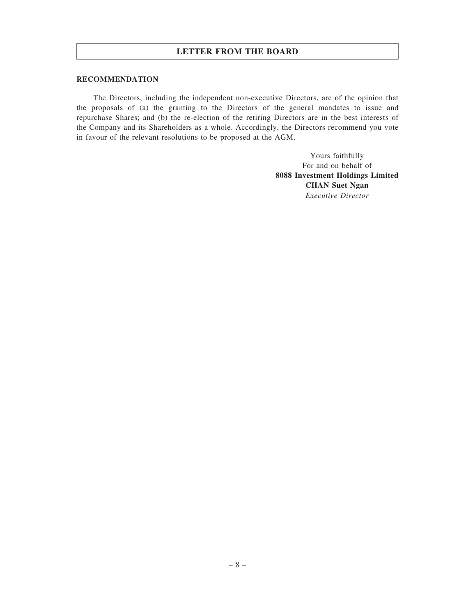#### RECOMMENDATION

The Directors, including the independent non-executive Directors, are of the opinion that the proposals of (a) the granting to the Directors of the general mandates to issue and repurchase Shares; and (b) the re-election of the retiring Directors are in the best interests of the Company and its Shareholders as a whole. Accordingly, the Directors recommend you vote in favour of the relevant resolutions to be proposed at the AGM.

> Yours faithfully For and on behalf of 8088 Investment Holdings Limited CHAN Suet Ngan Executive Director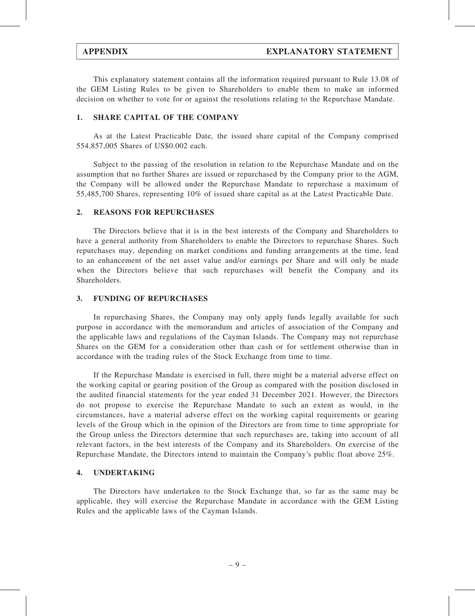This explanatory statement contains all the information required pursuant to Rule 13.08 of the GEM Listing Rules to be given to Shareholders to enable them to make an informed decision on whether to vote for or against the resolutions relating to the Repurchase Mandate.

## 1. SHARE CAPITAL OF THE COMPANY

As at the Latest Practicable Date, the issued share capital of the Company comprised 554,857,005 Shares of US\$0.002 each.

Subject to the passing of the resolution in relation to the Repurchase Mandate and on the assumption that no further Shares are issued or repurchased by the Company prior to the AGM, the Company will be allowed under the Repurchase Mandate to repurchase a maximum of 55,485,700 Shares, representing 10% of issued share capital as at the Latest Practicable Date.

### 2. REASONS FOR REPURCHASES

The Directors believe that it is in the best interests of the Company and Shareholders to have a general authority from Shareholders to enable the Directors to repurchase Shares. Such repurchases may, depending on market conditions and funding arrangements at the time, lead to an enhancement of the net asset value and/or earnings per Share and will only be made when the Directors believe that such repurchases will benefit the Company and its Shareholders.

### 3. FUNDING OF REPURCHASES

In repurchasing Shares, the Company may only apply funds legally available for such purpose in accordance with the memorandum and articles of association of the Company and the applicable laws and regulations of the Cayman Islands. The Company may not repurchase Shares on the GEM for a consideration other than cash or for settlement otherwise than in accordance with the trading rules of the Stock Exchange from time to time.

If the Repurchase Mandate is exercised in full, there might be a material adverse effect on the working capital or gearing position of the Group as compared with the position disclosed in the audited financial statements for the year ended 31 December 2021. However, the Directors do not propose to exercise the Repurchase Mandate to such an extent as would, in the circumstances, have a material adverse effect on the working capital requirements or gearing levels of the Group which in the opinion of the Directors are from time to time appropriate for the Group unless the Directors determine that such repurchases are, taking into account of all relevant factors, in the best interests of the Company and its Shareholders. On exercise of the Repurchase Mandate, the Directors intend to maintain the Company's public float above 25%.

## 4. UNDERTAKING

The Directors have undertaken to the Stock Exchange that, so far as the same may be applicable, they will exercise the Repurchase Mandate in accordance with the GEM Listing Rules and the applicable laws of the Cayman Islands.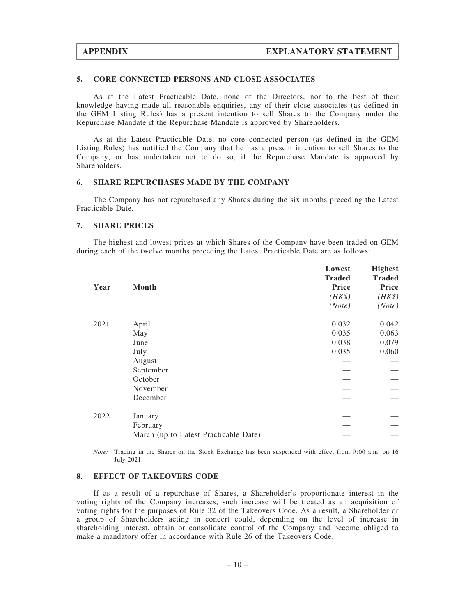### 5. CORE CONNECTED PERSONS AND CLOSE ASSOCIATES

As at the Latest Practicable Date, none of the Directors, nor to the best of their knowledge having made all reasonable enquiries, any of their close associates (as defined in the GEM Listing Rules) has a present intention to sell Shares to the Company under the Repurchase Mandate if the Repurchase Mandate is approved by Shareholders.

As at the Latest Practicable Date, no core connected person (as defined in the GEM Listing Rules) has notified the Company that he has a present intention to sell Shares to the Company, or has undertaken not to do so, if the Repurchase Mandate is approved by Shareholders.

### 6. SHARE REPURCHASES MADE BY THE COMPANY

The Company has not repurchased any Shares during the six months preceding the Latest Practicable Date.

### 7. SHARE PRICES

The highest and lowest prices at which Shares of the Company have been traded on GEM during each of the twelve months preceding the Latest Practicable Date are as follows:

|      |                                       | Lowest        | <b>Highest</b> |
|------|---------------------------------------|---------------|----------------|
| Year | <b>Month</b>                          | <b>Traded</b> | <b>Traded</b>  |
|      |                                       | <b>Price</b>  | Price          |
|      |                                       | $(HK\$        | $(HK\$         |
|      |                                       | (Note)        | (Note)         |
| 2021 | April                                 | 0.032         | 0.042          |
|      | May                                   | 0.035         | 0.063          |
|      | June                                  | 0.038         | 0.079          |
|      | July                                  | 0.035         | 0.060          |
|      | August                                |               |                |
|      | September                             |               |                |
|      | October                               |               |                |
|      | November                              |               |                |
|      | December                              |               |                |
| 2022 | January                               |               |                |
|      | February                              |               |                |
|      | March (up to Latest Practicable Date) |               |                |

Note: Trading in the Shares on the Stock Exchange has been suspended with effect from 9:00 a.m. on 16 July 2021.

#### 8. EFFECT OF TAKEOVERS CODE

If as a result of a repurchase of Shares, a Shareholder's proportionate interest in the voting rights of the Company increases, such increase will be treated as an acquisition of voting rights for the purposes of Rule 32 of the Takeovers Code. As a result, a Shareholder or a group of Shareholders acting in concert could, depending on the level of increase in shareholding interest, obtain or consolidate control of the Company and become obliged to make a mandatory offer in accordance with Rule 26 of the Takeovers Code.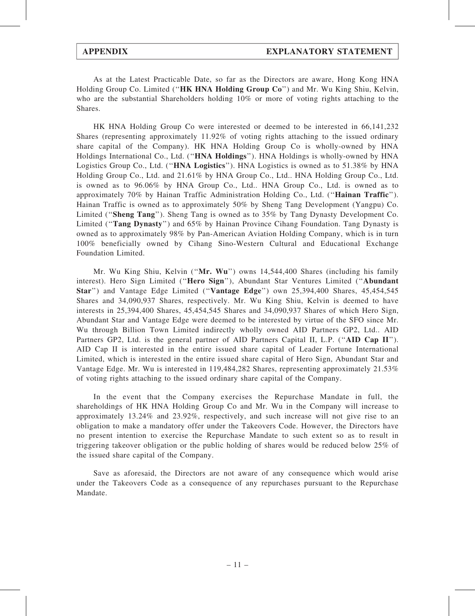As at the Latest Practicable Date, so far as the Directors are aware, Hong Kong HNA Holding Group Co. Limited (''HK HNA Holding Group Co'') and Mr. Wu King Shiu, Kelvin, who are the substantial Shareholders holding 10% or more of voting rights attaching to the Shares.

HK HNA Holding Group Co were interested or deemed to be interested in 66,141,232 Shares (representing approximately 11.92% of voting rights attaching to the issued ordinary share capital of the Company). HK HNA Holding Group Co is wholly-owned by HNA Holdings International Co., Ltd. (''HNA Holdings''). HNA Holdings is wholly-owned by HNA Logistics Group Co., Ltd. ("HNA Logistics"). HNA Logistics is owned as to 51.38% by HNA Holding Group Co., Ltd. and 21.61% by HNA Group Co., Ltd.. HNA Holding Group Co., Ltd. is owned as to 96.06% by HNA Group Co., Ltd.. HNA Group Co., Ltd. is owned as to approximately 70% by Hainan Traffic Administration Holding Co., Ltd. (''Hainan Traffic''). Hainan Traffic is owned as to approximately 50% by Sheng Tang Development (Yangpu) Co. Limited ("Sheng Tang"). Sheng Tang is owned as to 35% by Tang Dynasty Development Co. Limited ("Tang Dynasty") and 65% by Hainan Province Cihang Foundation. Tang Dynasty is owned as to approximately 98% by Pan-American Aviation Holding Company, which is in turn 100% beneficially owned by Cihang Sino-Western Cultural and Educational Exchange Foundation Limited.

Mr. Wu King Shiu, Kelvin ("Mr. Wu") owns 14,544,400 Shares (including his family interest). Hero Sign Limited (''Hero Sign''), Abundant Star Ventures Limited (''Abundant Star'') and Vantage Edge Limited (''Vantage Edge'') own 25,394,400 Shares, 45,454,545 Shares and 34,090,937 Shares, respectively. Mr. Wu King Shiu, Kelvin is deemed to have interests in 25,394,400 Shares, 45,454,545 Shares and 34,090,937 Shares of which Hero Sign, Abundant Star and Vantage Edge were deemed to be interested by virtue of the SFO since Mr. Wu through Billion Town Limited indirectly wholly owned AID Partners GP2, Ltd.. AID Partners GP2, Ltd. is the general partner of AID Partners Capital II, L.P. ("AID Cap II"). AID Cap II is interested in the entire issued share capital of Leader Fortune International Limited, which is interested in the entire issued share capital of Hero Sign, Abundant Star and Vantage Edge. Mr. Wu is interested in 119,484,282 Shares, representing approximately 21.53% of voting rights attaching to the issued ordinary share capital of the Company.

In the event that the Company exercises the Repurchase Mandate in full, the shareholdings of HK HNA Holding Group Co and Mr. Wu in the Company will increase to approximately 13.24% and 23.92%, respectively, and such increase will not give rise to an obligation to make a mandatory offer under the Takeovers Code. However, the Directors have no present intention to exercise the Repurchase Mandate to such extent so as to result in triggering takeover obligation or the public holding of shares would be reduced below 25% of the issued share capital of the Company.

Save as aforesaid, the Directors are not aware of any consequence which would arise under the Takeovers Code as a consequence of any repurchases pursuant to the Repurchase Mandate.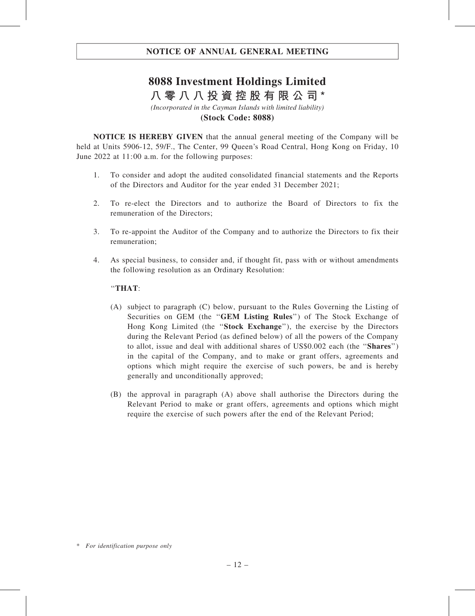# **8088 Investment Holdings Limited 八零八八投資控股有限公司\***

*(Incorporated in the Cayman Islands with limited liability)* **(Stock Code: 8088)**

NOTICE IS HEREBY GIVEN that the annual general meeting of the Company will be held at Units 5906-12, 59/F., The Center, 99 Queen's Road Central, Hong Kong on Friday, 10 June 2022 at 11:00 a.m. for the following purposes:

- 1. To consider and adopt the audited consolidated financial statements and the Reports of the Directors and Auditor for the year ended 31 December 2021;
- 2. To re-elect the Directors and to authorize the Board of Directors to fix the remuneration of the Directors;
- 3. To re-appoint the Auditor of the Company and to authorize the Directors to fix their remuneration;
- 4. As special business, to consider and, if thought fit, pass with or without amendments the following resolution as an Ordinary Resolution:

## ''THAT:

- (A) subject to paragraph (C) below, pursuant to the Rules Governing the Listing of Securities on GEM (the "GEM Listing Rules") of The Stock Exchange of Hong Kong Limited (the "Stock Exchange"), the exercise by the Directors during the Relevant Period (as defined below) of all the powers of the Company to allot, issue and deal with additional shares of US\$0.002 each (the "Shares") in the capital of the Company, and to make or grant offers, agreements and options which might require the exercise of such powers, be and is hereby generally and unconditionally approved;
- (B) the approval in paragraph (A) above shall authorise the Directors during the Relevant Period to make or grant offers, agreements and options which might require the exercise of such powers after the end of the Relevant Period;

<sup>\*</sup> For identification purpose only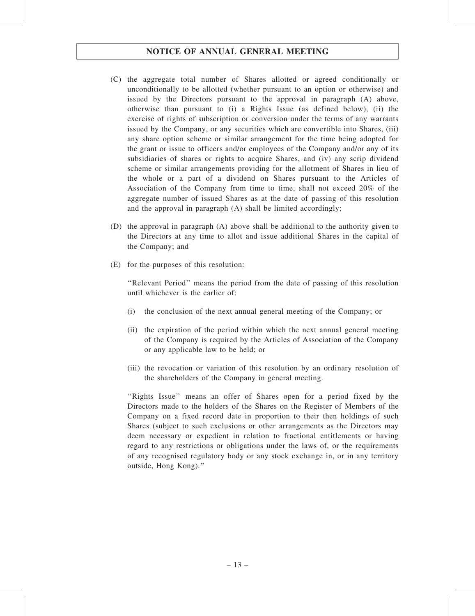- (C) the aggregate total number of Shares allotted or agreed conditionally or unconditionally to be allotted (whether pursuant to an option or otherwise) and issued by the Directors pursuant to the approval in paragraph (A) above, otherwise than pursuant to (i) a Rights Issue (as defined below), (ii) the exercise of rights of subscription or conversion under the terms of any warrants issued by the Company, or any securities which are convertible into Shares, (iii) any share option scheme or similar arrangement for the time being adopted for the grant or issue to officers and/or employees of the Company and/or any of its subsidiaries of shares or rights to acquire Shares, and (iv) any scrip dividend scheme or similar arrangements providing for the allotment of Shares in lieu of the whole or a part of a dividend on Shares pursuant to the Articles of Association of the Company from time to time, shall not exceed 20% of the aggregate number of issued Shares as at the date of passing of this resolution and the approval in paragraph (A) shall be limited accordingly;
- (D) the approval in paragraph (A) above shall be additional to the authority given to the Directors at any time to allot and issue additional Shares in the capital of the Company; and
- (E) for the purposes of this resolution:

''Relevant Period'' means the period from the date of passing of this resolution until whichever is the earlier of:

- (i) the conclusion of the next annual general meeting of the Company; or
- (ii) the expiration of the period within which the next annual general meeting of the Company is required by the Articles of Association of the Company or any applicable law to be held; or
- (iii) the revocation or variation of this resolution by an ordinary resolution of the shareholders of the Company in general meeting.

''Rights Issue'' means an offer of Shares open for a period fixed by the Directors made to the holders of the Shares on the Register of Members of the Company on a fixed record date in proportion to their then holdings of such Shares (subject to such exclusions or other arrangements as the Directors may deem necessary or expedient in relation to fractional entitlements or having regard to any restrictions or obligations under the laws of, or the requirements of any recognised regulatory body or any stock exchange in, or in any territory outside, Hong Kong).''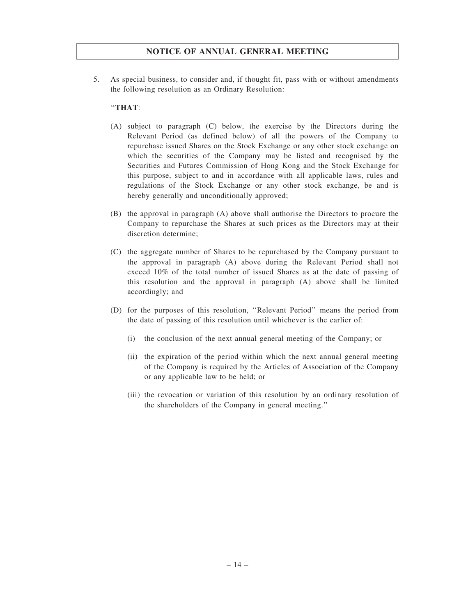5. As special business, to consider and, if thought fit, pass with or without amendments the following resolution as an Ordinary Resolution:

## ''THAT:

- (A) subject to paragraph (C) below, the exercise by the Directors during the Relevant Period (as defined below) of all the powers of the Company to repurchase issued Shares on the Stock Exchange or any other stock exchange on which the securities of the Company may be listed and recognised by the Securities and Futures Commission of Hong Kong and the Stock Exchange for this purpose, subject to and in accordance with all applicable laws, rules and regulations of the Stock Exchange or any other stock exchange, be and is hereby generally and unconditionally approved;
- (B) the approval in paragraph (A) above shall authorise the Directors to procure the Company to repurchase the Shares at such prices as the Directors may at their discretion determine;
- (C) the aggregate number of Shares to be repurchased by the Company pursuant to the approval in paragraph (A) above during the Relevant Period shall not exceed 10% of the total number of issued Shares as at the date of passing of this resolution and the approval in paragraph (A) above shall be limited accordingly; and
- (D) for the purposes of this resolution, ''Relevant Period'' means the period from the date of passing of this resolution until whichever is the earlier of:
	- (i) the conclusion of the next annual general meeting of the Company; or
	- (ii) the expiration of the period within which the next annual general meeting of the Company is required by the Articles of Association of the Company or any applicable law to be held; or
	- (iii) the revocation or variation of this resolution by an ordinary resolution of the shareholders of the Company in general meeting.''